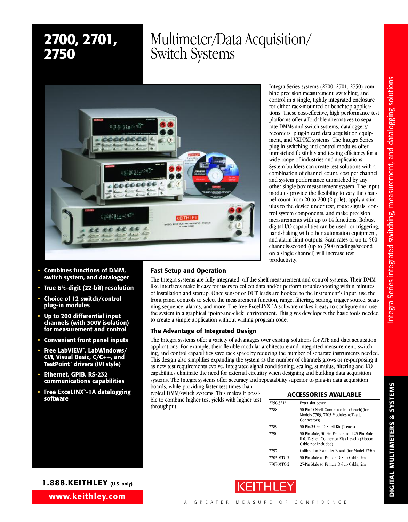

- **• Combines functions of DMM, switch system, and datalogger**
- **• True 61⁄2-digit (22-bit) resolution**
- **• Choice of 12 switch/control plug-in modules**
- **• Up to 200 differential input channels (with 300V isolation) for measurement and control**
- **• Convenient front panel inputs**
- **• Free LabVIEW™, LabWindows/ CVI, Visual Basic, C/C++, and TestPoint™ drivers (IVI style)**
- **• Ethernet, GPIB, RS-232 communications capabilities**
- **• Free ExceLINX™-1A datalogging**

**Fast Setup and Operation**

The Integra systems are fully integrated, off-the-shelf measurement and control systems. Their DMMlike interfaces make it easy for users to collect data and/or perform troubleshooting within minutes of installation and startup. Once sensor or DUT leads are hooked to the instrument's input, use the front panel controls to select the measurement function, range, filtering, scaling, trigger source, scanning sequence, alarms, and more. The free ExceLINX-1A software makes it easy to configure and use the system in a graphical "point-and-click" environment. This gives developers the basic tools needed to create a simple application without writing program code.

productivity.

# **The Advantage of Integrated Design**

The Integra systems offer a variety of advantages over existing solutions for ATE and data acquisition applications. For example, their flexible modular architecture and integrated measurement, switching, and control capabilities save rack space by reducing the number of separate instruments needed. This design also simplifies expanding the system as the number of channels grows or re-purposing it as new test requirements evolve. Integrated signal conditioning, scaling, stimulus, filtering and I/O capabilities eliminate the need for external circuitry when designing and building data acquisition systems. The Integra systems offer accuracy and repeatability superior to plug-in data acquisition boards, while providing faster test times than

typical DMM/switch systems. This makes it possi**ble to combine higher test yields with higher test**  $\frac{1}{2750.331\text{ A} + 1}$  From ACCESSORIES AVAILABLE throughput.

|            | ALLESSURIES AVAILADLE                                                                                            |
|------------|------------------------------------------------------------------------------------------------------------------|
| 2750-321A  | Extra slot cover                                                                                                 |
| 7788       | 50-Pin D-Shell Connector Kit (2 each) (for<br>Models 7703, 7705 Modules w/D-sub<br>Connectors)                   |
| 7789       | 50-Pin/25-Pin D-Shell Kit (1 each)                                                                               |
| 7790       | 50-Pin Male, 50-Pin Female, and 25-Pin Male<br>IDC D-Shell Connector Kit (1 each) (Ribbon<br>Cable not Included) |
| 7797       | Calibration Extender Board (for Model 2750)                                                                      |
| 7705-MTC-2 | 50-Pin Male to Female D-Sub Cable, 2m                                                                            |
| 7707-MTC-2 | 25-Pin Male to Female D-Sub Cable, 2m                                                                            |

Integra Series systems (2700, 2701, 2750) combine precision measurement, switching, and control in a single, tightly integrated enclosure for either rack-mounted or benchtop applications. These cost-effective, high performance test platforms offer affordable alternatives to separate DMMs and switch systems, dataloggers/ recorders, plug-in card data acquisition equipment, and VXI/PXI systems. The Integra Series plug-in switching and control modules offer unmatched flexibility and testing efficiency for a wide range of industries and applications. System builders can create test solutions with a combination of channel count, cost per channel, and system performance unmatched by any other single-box measurement system. The input modules provide the flexibility to vary the channel count from 20 to 200 (2-pole), apply a stimulus to the device under test, route signals, control system components, and make precision measurements with up to 14 functions. Robust digital I/O capabilities can be used for triggering, handshaking with other automation equipment, and alarm limit outputs. Scan rates of up to 500 channels/second (up to 3500 readings/second on a single channel) will increase test



**S**

# **www.keithley.com 1.888.KEITHLEY (U.S. only)**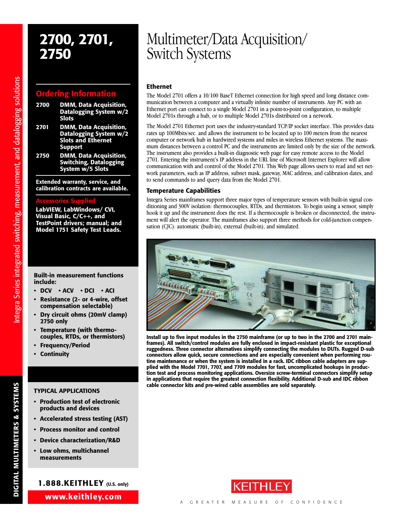# **Ordering Information**

- **2700 DMM, Data Acquisition, Datalogging System w/2 Slots**
- **2701 DMM, Data Acquisition, Datalogging System w/2 Slots and Ethernet Support**
- **2750 DMM, Data Acquisition, Switching, Datalogging System w/5 Slots**

**Extended warranty, service, and calibration contracts are available.**

## **Accessories Supplied**

**LabVIEW, LabWindows/ CVI, Visual Basic, C/C++, and TestPoint drivers; manual; and Model 1751 Safety Test Leads.**

### **Built-in measurement functions include:**

- **• DCV • ACV • DCI • ACI**
- **Resistance (2- or 4-wire, offset compensation selectable)**
- **• Dry circuit ohms (20mV clamp) 2750 only**
- **Temperature (with thermocouples, RTDs, or thermistors)**
- **Frequency/Period**
- **Continuity**

# **TYPICAL APPLICATIONS**

- **Production test of electronic products and devices**
- **Accelerated stress testing (AST)**
- **• Process monitor and control**
- **Device characterization/R&D**
- **Low ohms, multichannel measurements**

# **1.888.KEITHLEY (U.S. only)**

**www.keithley.com**

# **2700, 2701,** Multimeter/Data Acquisition/ **2750** Switch Systems

# **Ethernet**

The Model 2701 offers a 10/100 BaseT Ethernet connection for high speed and long distance communication between a computer and a virtually infinite number of instruments. Any PC with an Ethernet port can connect to a single Model 2701 in a point-to-point configuration, to multiple Model 2701s through a hub, or to multiple Model 2701s distributed on a network.

The Model 2701 Ethernet port uses the industry-standard TCP/IP socket interface. This provides data rates up 100Mbits/sec. and allows the instrument to be located up to 100 meters from the nearest computer or network hub in hardwired systems and miles in wireless Ethernet systems. The maximum distances between a control PC and the instruments are limited only by the size of the network. The instrument also provides a built-in diagnostic web page for easy remote access to the Model 2701. Entering the instrument's IP address in the URL line of Microsoft Internet Explorer will allow communication with and control of the Model 2701. This Web page allows users to read and set network parameters, such as IP address, subnet mask, gateway, MAC address, and calibration dates, and to send commands to and query data from the Model 2701.

# **Temperature Capabilities**

Integra Series mainframes support three major types of temperature sensors with built-in signal conditioning and 300V isolation: thermocouples, RTDs, and thermistors. To begin using a sensor, simply hook it up and the instrument does the rest. If a thermocouple is broken or disconnected, the instrument will alert the operator. The mainframes also support three methods for cold-junction compensation (CJC): automatic (built-in), external (built-in), and simulated.



**Install up to five input modules in the 2750 mainframe (or up to two in the 2700 and 2701 mainframes). All switch/control modules are fully enclosed in impact-resistant plastic for exceptional ruggedness. Three connector alternatives simplify connecting the modules to DUTs. Rugged D-sub connectors allow quick, secure connections and are especially convenient when performing routine maintenance or when the system is installed in a rack. IDC ribbon cable adapters are supplied with the Model 7701, 7707, and 7709 modules for fast, uncomplicated hookups in production test and process monitoring applications. Oversize screw-terminal connectors simplify setup in applications that require the greatest connection flexibility. Additional D-sub and IDC ribbon cable connector kits and pre-wired cable assemblies are sold separately.**



**DIGITAL M**

**ULTIM E T E RS**

**&**

**S Y S T E MS**

ns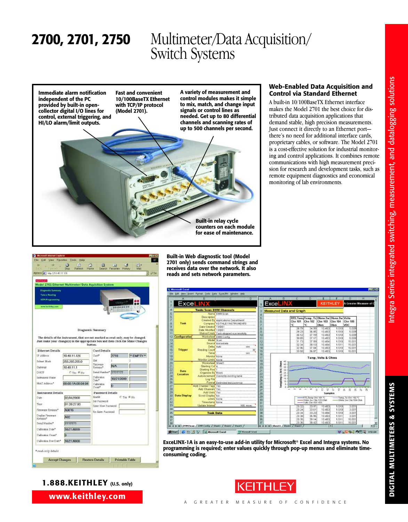

# **Web-Enabled Data Acquisition and Control via Standard Ethernet**

A built-in 10/100BaseTX Ethernet interface makes the Model 2701 the best choice for distributed data acquisition applications that demand stable, high precision measurements. Just connect it directly to an Ethernet port there's no need for additional interface cards, proprietary cables, or software. The Model 2701 is a cost-effective solution for industrial monitoring and control applications. It combines remote communications with high measurement precision for research and development tasks, such as remote equipment diagnostics and economical monitoring of lab environments.





**Built-in Web diagnostic tool (Model 2701 only) sends command strings and receives data over the network. It also reads and sets network parameters.**

|                     | в                                            |                                        | ū          |                       |                                |                             | c              | Ð                     |                    |                                         | G                      |        |  |
|---------------------|----------------------------------------------|----------------------------------------|------------|-----------------------|--------------------------------|-----------------------------|----------------|-----------------------|--------------------|-----------------------------------------|------------------------|--------|--|
| ExceLIN)            |                                              |                                        |            |                       | <b>Exce</b>                    |                             |                |                       | <b>KEITHLEY</b>    |                                         | A Greater Measure of C |        |  |
|                     | <b>Task: Sean DMM Channels</b>               |                                        |            |                       | <b>Measured Data and Graph</b> |                             |                |                       |                    |                                         |                        |        |  |
|                     |                                              | Name DMM Scan                          |            |                       |                                |                             |                |                       |                    |                                         |                        |        |  |
|                     | Description                                  |                                        |            | 5                     |                                |                             |                |                       |                    | RTD, Tem Temp, Tc Ohms 2w Ohms 2w Volts |                        |        |  |
|                     |                                              | Created By Applications Department     |            | ß                     |                                |                             | Chn 101        | Chn 182               | Chn 103            | Chn 104                                 | Chn 105                |        |  |
| Task                |                                              | Company KEITHLEY INSTRUMENTS           |            |                       |                                |                             | ۶c             | ×е                    | Ohm                | Ohm                                     | VDC                    |        |  |
|                     | Date Created 10/9/01                         |                                        |            | B                     |                                |                             | 28.79          | 34.99                 | 10.483             | 1.510                                   | 5,009                  |        |  |
|                     | Date Modified 10/9/01                        |                                        |            | $\overline{a}$        |                                |                             | 29.23          | 36.85                 | 10.483             | 1.510                                   | 5,009                  |        |  |
|                     |                                              | Status/Crnds Task stopped successfully |            | 10                    |                                |                             | 30.12          | 37.19                 | 10.483             | 1,510                                   | 5,009                  |        |  |
| Configuration       |                                              | Worksheet DMM Config                   |            |                       |                                |                             | 30.65          | 37.17                 | 10.483             | 1.510                                   | 5,009                  |        |  |
|                     | Model Scan                                   |                                        |            | 12                    |                                |                             | 31.73          | 37.89                 | 10,484             | 1,510                                   | 15,001                 |        |  |
|                     | Delay Auto                                   | Source Immediate                       |            | 18                    |                                |                             | 52.34          | 38.13                 | 10,484             | 1.611                                   | 15,001                 |        |  |
| Trigger             |                                              |                                        | <b>HRE</b> | 14                    |                                |                             | 32.96          | 37.84                 | 10.483             | 1,610                                   | 15,001                 |        |  |
|                     | Reading Count<br>Timer                       |                                        | 30<br>381  | 15                    |                                |                             | 33.50          | 36.87                 | 10,483             | 1.510                                   | 15,001                 |        |  |
|                     | Monitor None                                 |                                        |            | 16                    |                                |                             |                |                       |                    |                                         |                        |        |  |
|                     | Monitor Limits' Norw                         |                                        |            | 17                    |                                |                             |                |                       | Temp, Volts & Ohms |                                         |                        |        |  |
|                     |                                              |                                        |            | 18                    |                                | 45                          |                |                       |                    |                                         |                        |        |  |
|                     |                                              |                                        |            |                       |                                |                             |                |                       |                    |                                         |                        |        |  |
|                     | Worksheet Sheet1                             |                                        |            | 19                    |                                | 40                          |                |                       |                    |                                         |                        |        |  |
|                     | <b>Starting Col A</b>                        |                                        |            | DO.                   |                                | 36                          |                |                       |                    |                                         |                        |        |  |
| Data                | <b>Starting Row't</b>                        |                                        |            | 21                    |                                | 30                          |                |                       |                    |                                         |                        |        |  |
| Location            | Organize By Rows                             |                                        |            | 22                    |                                | 26<br>20                    |                |                       |                    |                                         |                        |        |  |
|                     |                                              | Autoincrement Overwrite quisting table |            | 23                    |                                | 16                          |                |                       |                    |                                         |                        |        |  |
|                     | Log File                                     |                                        |            | 24                    |                                | 10                          |                |                       |                    |                                         |                        |        |  |
|                     |                                              | Formid Delimited ted (comma)           |            | 25                    |                                | s                           |                |                       |                    |                                         |                        |        |  |
|                     | Add Channel Tags Yes                         |                                        |            | 26                    |                                | Templing c), DcV, Ohms<br>b | w              |                       |                    |                                         |                        |        |  |
|                     | Add Channels Yes                             |                                        |            | 27                    |                                |                             |                |                       | ≌                  | ¢<br>b                                  | 肩<br>掲<br>云            | 需<br>ħ |  |
| <b>Data Display</b> | Add Units Yes                                |                                        |            | 28                    |                                |                             |                |                       | <b>Samples</b>     |                                         |                        |        |  |
|                     | Scroll Display No.<br>Limits <sup>None</sup> |                                        |            | $\overline{29}$       |                                |                             |                | RTD.Tenp Chr 101 °C   |                    |                                         | -Tenp, Te On 102 °C    |        |  |
|                     | Timestama None                               |                                        |            | 30                    |                                |                             |                | China 2w Chn 103 Chin |                    |                                         | Ohns 2w Chn 904 Ohn    |        |  |
|                     | <b>Undata</b> Interest                       |                                        | 100 msec   | 31                    |                                |                             |                | -Volls Clas 105 VDC   |                    |                                         |                        |        |  |
|                     |                                              |                                        |            | 32                    |                                |                             | 23.32          | 33.97                 | 10.483             | 1.510                                   | 3,001                  |        |  |
|                     |                                              |                                        |            | 33                    |                                |                             | 23.24          | 33.61                 | 10,483             | 1.510                                   | 3,001                  |        |  |
|                     | <b>Task Data</b>                             |                                        |            | 34                    |                                |                             | 23.34          | 33.23                 | 10.484             | 1,510                                   | 3,001                  |        |  |
|                     |                                              |                                        |            | 35                    |                                |                             | 23.38<br>23.35 | 35.95<br>99.14        | 10.483<br>10,483   | 1.511<br>1.511                          | 3,001<br>15,001        |        |  |
|                     |                                              |                                        |            | 36<br>$\overline{37}$ |                                |                             | 23.35          | 3B 42                 | 10 483             | 1.511                                   | 15,001                 |        |  |

**ExceLINX-1A is an easy-to-use add-in utility for Microsoft® Excel and Integra systems. No programming is required; enter values quickly through pop-up menus and eliminate timeconsuming coding.**



**S**

**1.888.KEITHLEY (U.S. only)**

Accept Changes Restore Details Printable Table

California Count

\* read-only details

Californios, Due Date\*

ħ

10/21/0000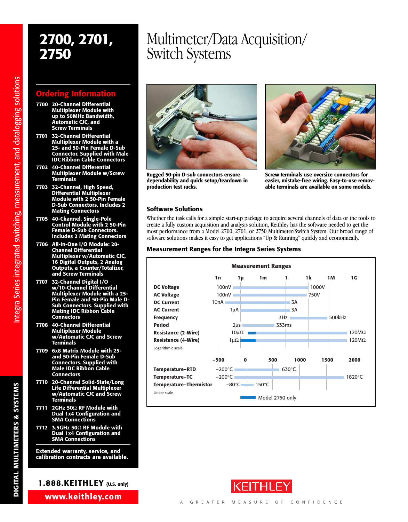# **Information**

- **7700 20-Channel Differential Multiplexer Module with up to 50MHz Bandwidth, Automatic CJC, and Screw Terminals**
- **7701 32-Channel Differential Multiplexer Module with a 25- and 50-Pin Female D-Sub Connector. Supplied with Male IDC Ribbon Cable Connectors**
- **7702 40-Channel Differential Multiplexer Module w/Screw Terminals**
- **7703 32-Channel, High Speed, Differential Multiplexer Module with 2 50-Pin Female D-Sub Connectors. Includes 2 Mating Connectors**
- **7705 40-Channel, Single-Pole Control Module with 2 50-Pin Female D-Sub Connectors. Includes 2 Mating Connectors**
- **7706 All-in-One I/O Module: 20- Channel Differential Multiplexer w/Automatic CJC, 16 Digital Outputs, 2 Analog Outputs, a Counter/Totalizer, and Screw Terminals**
- **7707 32-Channel Digital I/O w/10-Channel Differential Multiplexer Module with a 25- Pin Female and 50-Pin Male D-Sub Connectors. Supplied with Mating IDC Ribbon Cable Connectors**
- **7708 40-Channel Differential Multiplexer Module w/Automatic CJC and Screw Terminals**
- **7709 6x8 Matrix Module with 25 and 50-Pin Female D-Sub Connectors. Supplied with Male IDC Ribbon Cable Connectors**
- **7710 20-Channel Solid-State/Long Life Differential Multiplexer w/Automatic CJC and Screw Terminals**
- **7711 2GHz 50**Ω **RF Module with Dual 1x4 Configuration and SMA Connections**
- **7712 3.5GHz 50**Ω **RF Module with Dual 1x4 Configuration and SMA Connections**

**Extended warranty, service, and calibration contracts are available.**

# **1.888.KEITHLEY (U.S. only)**

**www.keithley.com**

# **2700, 2701,** Multimeter/Data Acquisition/ **2750** Switch Systems



**Rugged 50-pin D-sub connectors ensure dependability and quick setup/teardown in production test racks.**



**Screw terminals use oversize connectors for easier, mistake-free wiring. Easy-to-use removable terminals are available on some models.**

# **Software Solutions**

Whether the task calls for a simple start-up package to acquire several channels of data or the tools to create a fully custom acquisition and analysis solution, Keithley has the software needed to get the most performance from a Model 2700, 2701, or 2750 Multimeter/Switch System. Our broad range of software solutions makes it easy to get applications "Up & Running" quickly and economically.

## **Measurement Ranges for the Integra Series Systems**





ns

**DIGITAL M ULTIM E T E RS &S Y S T E MS**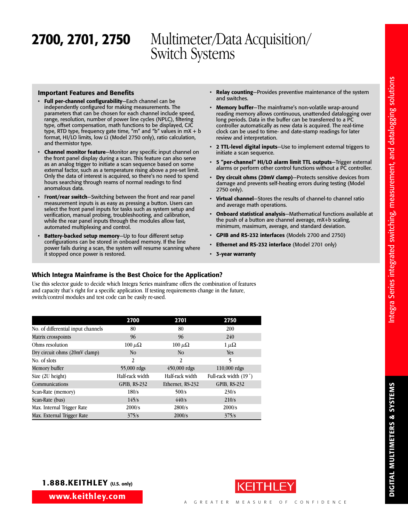### **Important Features and Benefits**

- **Full per-channel configurability**—Each channel can be independently configured for making measurements. The parameters that can be chosen for each channel include speed, range, resolution, number of power line cycles (NPLC), filtering type, offset compensation, math functions to be displayed, CJC type, RTD type, frequency gate time, "m" and "b" values in mX + b format, HI/LO limits, low Ω (Model 2750 only), ratio calculation, and thermistor type.
- **Channel monitor feature**—Monitor any specific input channel on the front panel display during a scan. This feature can also serve as an analog trigger to initiate a scan sequence based on some external factor, such as a temperature rising above a pre-set limit. Only the data of interest is acquired, so there's no need to spend hours searching through reams of normal readings to find anomalous data.
- F**ront/rear switch**—Switching between the front and rear panel measurement inputs is as easy as pressing a button. Users can select the front panel inputs for tasks such as system setup and verification, manual probing, troubleshooting, and calibration, while the rear panel inputs through the modules allow fast, automated multiplexing and control.
- **Battery-backed setup memory**—Up to four different setup configurations can be stored in onboard memory. If the line power fails during a scan, the system will resume scanning where it stopped once power is restored.
- **Relay counting**—Provides preventive maintenance of the system and switches.
- **Memory buffer**—The mainframe's non-volatile wrap-around reading memory allows continuous, unattended datalogging over long periods. Data in the buffer can be transferred to a PC controller automatically as new data is acquired. The real-time clock can be used to time- and date-stamp readings for later review and interpretation.
- **2 TTL-level digital inputs**—Use to implement external triggers to initiate a scan sequence.
- **5 "per-channel" HI/LO alarm limit TTL outputs**—Trigger external alarms or perform other control functions without a PC controller.
- **Dry circuit ohms (20mV clamp)**—Protects sensitive devices from damage and prevents self-heating errors during testing (Model 2750 only).
- **Virtual channel**—Stores the results of channel-to channel ratio and average math operations.
- **Onboard statistical analysis**—Mathematical functions available at the push of a button are channel average, mX+b scaling, minimum, maximum, average, and standard deviation.
- **GPIB and RS-232 interfaces** (Models 2700 and 2750)
- **Ethernet and RS-232 interface** (Model 2701 only)
- **3-year warranty**

# **Which Integra Mainframe is the Best Choice for the Application?**

Use this selector guide to decide which Integra Series mainframe offers the combination of features and capacity that's right for a specific application. If testing requirements change in the future, switch/control modules and test code can be easily re-used.

|                                    | 2700                | 2701             | 2750                  |
|------------------------------------|---------------------|------------------|-----------------------|
| No. of differential input channels | 80                  | 80               | 200                   |
| Matrix crosspoints                 | 96                  | 96               | 240                   |
| Ohms resolution                    | $100 \mu\Omega$     | $100 \mu\Omega$  | $1 \mu \Omega$        |
| Dry circuit ohms (20mV clamp)      | N <sub>o</sub>      | N <sub>o</sub>   | <b>Yes</b>            |
| No. of slots                       | $\overline{2}$      | 2                | 5                     |
| Memory buffer                      | 55,000 rdgs         | $450,000$ rdgs   | $110,000$ rdgs        |
| Size (2U height)                   | Half-rack width     | Half-rack width  | Full-rack width (19") |
| Communications                     | <b>GPIB, RS-232</b> | Ethernet, RS-232 | <b>GPIB, RS-232</b>   |
| Scan-Rate (memory)                 | 180/s               | 500/s            | 230/s                 |
| Scan-Rate (bus)                    | 145/s               | 440/s            | 210/s                 |
| Max. Internal Trigger Rate         | 2000/s              | 2800/s           | 2000/s                |
| Max. External Trigger Rate         | 375/s               | 2000/s           | 375/s                 |



**DIGITAL M**

**ULTIM E T E R**

**S &**

**S Y S T E M**

**S**

**www.keithley.com**

**1.888.KEITHLEY (U.S. only)**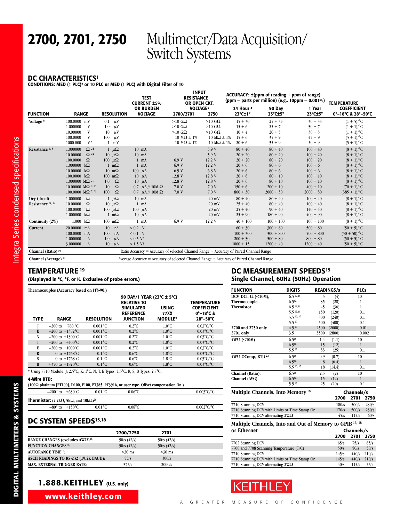## **DC CHARACTERISTICS1**

**CONDITIONS: MED (1 PLC)2 or 10 PLC or MED (1 PLC) with Digital Filter of 10**

|                                             |                                                                                                                                                                                                                                                             |                                                                                                                                                                                    | <b>TEST</b><br><b>CURRENT ±5%</b>                                                                                                                                     | <b>INPUT</b><br><b>RESISTANCE</b><br>OR OPEN CKT.                                      |                                                                                        |                                                                                                                | $ACCURACY: \pm(ppm of reading + ppm of range)$<br>(ppm = parts per million) (e.g., 10ppm = $0.001\%$ )             |                                                                                                                           | <b>TEMPERATURE</b>                                                                                                                                                                                    |
|---------------------------------------------|-------------------------------------------------------------------------------------------------------------------------------------------------------------------------------------------------------------------------------------------------------------|------------------------------------------------------------------------------------------------------------------------------------------------------------------------------------|-----------------------------------------------------------------------------------------------------------------------------------------------------------------------|----------------------------------------------------------------------------------------|----------------------------------------------------------------------------------------|----------------------------------------------------------------------------------------------------------------|--------------------------------------------------------------------------------------------------------------------|---------------------------------------------------------------------------------------------------------------------------|-------------------------------------------------------------------------------------------------------------------------------------------------------------------------------------------------------|
| <b>FUNCTION</b>                             | <b>RANGE</b>                                                                                                                                                                                                                                                | <b>RESOLUTION</b>                                                                                                                                                                  | <b>OR BURDEN</b><br><b>VOLTAGE</b>                                                                                                                                    | <b>VOLTAGE3</b><br>2700/2701                                                           | 2750                                                                                   | 24 Hour <sup>4</sup><br>$23^{\circ}$ C $\pm$ 1°                                                                | 90 Day<br>$23^{\circ}$ C $\pm$ 5°                                                                                  | 1 Year<br>$23^{\circ}$ C $\pm$ 5°                                                                                         | <b>COEFFICIENT</b><br>0°-18°C & 28°-50°C                                                                                                                                                              |
| Voltage <sup>11</sup>                       | 100.0000<br>mV<br>1.000000<br>V<br>V<br>10.00000<br>100.0000<br>V<br>V <sub>5</sub><br>1000.000                                                                                                                                                             | $0.1 \mu V$<br>1.0<br>$\mu$ V<br>10<br>$\mu$ V<br>100<br>$\mu$ V<br>$1$ mV                                                                                                         |                                                                                                                                                                       | $>10$ GQ<br>$>10$ GQ<br>$>10$ GQ<br>$10 \text{ M}\Omega \pm 1\%$<br>10 M $\Omega$ ± 1% | $>10$ GQ<br>$>10$ GQ<br>$>10$ GQ<br>$10 \text{ M}\Omega \pm 1\%$<br>10 M $\Omega$ ± 1% | $15 + 30$<br>$15 + 6$<br>$10 + 4$<br>$15 + 6$<br>$20 + 6$                                                      | $25 + 35$<br>$25 + 7$<br>$20 + 5$<br>$35 + 9$<br>$35 + 9$                                                          | $30 + 35$<br>$30 + 7$<br>$30 + 5$<br>$45 + 9$<br>$50 + 9$                                                                 | $(1 + 5)^{\circ}C$<br>$(1 + 1)^{\circ}C$<br>$(1 + 1)^{\circ}C$<br>$(5 + 1)^{\circ}C$<br>$(5 + 1)^{\circ}C$                                                                                            |
| Resistance 6, 8                             | $\Omega^{24}$<br>1.000000<br>$\Omega^{24}$<br>10.00000<br>Ω<br>100.0000<br>1.000000<br>$k\Omega$<br>10.00000<br>$k\Omega$<br>$k\Omega$<br>100,0000<br>1.000000 M $\Omega$ <sup>23</sup><br>10.00000 M $\Omega$ 7, 23<br>100,0000 M $\Omega$ <sup>7,23</sup> | $1 \mu\Omega$<br>$10 \mu\Omega$<br>100 $\mu\Omega$<br>$1 \text{ m}\Omega$<br>$10 \text{ m}\Omega$<br>$100 \text{ m}\Omega$<br>$\Omega$<br>1.0<br>$\Omega$<br>10<br>$\Omega$<br>100 | $10$ mA<br>$10$ mA<br>$1 \text{ mA}$<br>$1 \text{ mA}$<br>$100 \mu A$<br>10<br>$\mu$ A<br>10<br>$\mu$ A<br>0.7 $\mu$ A // 10M $\Omega$<br>0.7 $\mu$ A // 10M $\Omega$ | 6.9V<br>6.9V<br>6.9V<br>12.8 V<br>12.8 V<br>7.0V<br>7.0V                               | 5.9V<br>5.9V<br>12.2 V<br>12.2V<br>6.8 V<br>12.8 V<br>12.8 V<br>7.0V<br>7.0V           | $80 + 40$<br>$20 + 20$<br>$20 + 20$<br>$20 + 6$<br>$20 + 6$<br>$20 + 6$<br>$20 + 6$<br>$150 + 6$<br>$800 + 30$ | $80 + 40$<br>$80 + 20$<br>$80 + 20$<br>$80 + 6$<br>$80 + 6$<br>$80 + 10$<br>$80 + 10$<br>$200 + 10$<br>$2000 + 30$ | $100 + 40$<br>$100 + 20$<br>$100 + 20$<br>$100 + 6$<br>$100 + 6$<br>$100 + 10$<br>$100 + 10$<br>$400 + 10$<br>$2000 + 30$ | $(8 + 1)^{\circ}C$<br>$(8 + 1)^{\circ}C$<br>$(8 + 1)^{\circ}C$<br>$(8 + 1)^{\circ}C$<br>$(8 + 1)^{\circ}C$<br>$(8 + 1)^{\circ}C$<br>$(8 + 1)^{\circ}C$<br>$(70 + 1)^{\circ}C$<br>$(385 + 1)^{\circ}C$ |
| Dry Circuit<br>Resistance <sup>21, 24</sup> | 1.000000<br>$\Omega$<br>Ω<br>10.00000<br>100.0000<br>Ω<br>$1.000000 \quad k\Omega$                                                                                                                                                                          | $1 \mu\Omega$<br>$10 \mu\Omega$<br>100 $\mu\Omega$<br>$1 \text{ m}\Omega$                                                                                                          | $10$ mA<br>$1$ mA<br>$100 \mu A$<br>$10 \mu A$                                                                                                                        |                                                                                        | $20$ mV<br>$20 \text{ mV}$<br>$20 \text{ mV}$<br>$20 \text{ mV}$                       | $80 + 40$<br>$25 + 40$<br>$25 + 40$<br>$25 + 90$                                                               | $80 + 40$<br>$80 + 40$<br>$90 + 40$<br>$180 + 90$                                                                  | $100 + 40$<br>$100 + 40$<br>$140 + 40$<br>$400 + 90$                                                                      | $(8 + 1)^{\circ}C$<br>$(8 + 1)^{\circ}C$<br>$(8 + 1)^{\circ}C$<br>$(8 + 1)^{\circ}C$                                                                                                                  |
| Continuity (2W)<br>Current                  | $1.000 \quad k\Omega$<br>20.00000 mA<br>100,0000 mA<br>1.000000<br>$\Lambda$<br>3.000000<br>A                                                                                                                                                               | $100 \text{ m}\Omega$<br>10<br>nA<br>100<br>nA<br>1.0<br>$\mu$ A<br>10<br>$\mu$ A                                                                                                  | $1 \text{ mA}$<br>$< 0.2$ V<br>$< 0.1$ V<br>< 0.5 V <sup>9</sup><br>< 1.5 V <sup>9</sup>                                                                              | 6.9V                                                                                   | 12.2 V                                                                                 | $40 + 100$<br>$60 + 30$<br>$100 + 300$<br>$200 + 30$<br>$1000 + 15$                                            | $100 + 100$<br>$300 + 80$<br>$300 + 800$<br>$500 + 80$<br>$1200 + 40$                                              | $100 + 100$<br>$500 + 80$<br>$500 + 800$<br>$800 + 80$<br>$1200 + 40$                                                     | $(8 + 1)^{\circ}C$<br>$(50 + 5)/^{\circ}C$<br>$(50 + 50)$ <sup>o</sup> C<br>$(50 + 5)/^{\circ}C$<br>$(50 + 5)/^{\circ}C$                                                                              |
| Channel (Ratio) <sup>10</sup>               |                                                                                                                                                                                                                                                             |                                                                                                                                                                                    | Ratio Accuracy = Accuracy of selected Channel Range + Accuracy of Paired Channel Range                                                                                |                                                                                        |                                                                                        |                                                                                                                |                                                                                                                    |                                                                                                                           |                                                                                                                                                                                                       |

# **TEMPERATURE <sup>19</sup>**

## **(Displayed in °C, °F, or K. Exclusive of probe errors.)**

| Thermocouples (Accuracy based on ITS-90.) |  |  |
|-------------------------------------------|--|--|
|-------------------------------------------|--|--|

|              |                                    |                      | 90 DAY/1 YEAR (23°C $\pm$ 5°C)                                                |                                               |                                                                                                   |
|--------------|------------------------------------|----------------------|-------------------------------------------------------------------------------|-----------------------------------------------|---------------------------------------------------------------------------------------------------|
| <b>TYPE</b>  | <b>RANGE</b>                       | <b>RESOLUTION</b>    | <b>RELATIVE TO</b><br><b>SIMULATED</b><br><b>REFERENCE</b><br><b>JUNCTION</b> | <b>USING</b><br><b>77XX</b><br><b>MODULE*</b> | <b>TEMPERATURE</b><br><b>COEFFICIENT</b><br>$0^{\circ}-18^{\circ}$ C &<br>$28^\circ - 50^\circ C$ |
|              | $-200 \text{ to } +760 \text{ °C}$ | $0.001$ °C           | $0.2^{\circ}$ C                                                               | $1.0^{\circ}$ C                               | $0.03^{\circ}$ C/°C                                                                               |
| K            | $-200$ to $+1372$ °C               | $0.001\textdegree C$ | $0.2^{\circ}$ C                                                               | $1.0^{\circ}$ C                               | $0.03^{\circ}C^{\circ}C$                                                                          |
| N            | $-200$ to $+1300^{\circ}$ C        | $0.001$ °C           | $0.2^{\circ}$ C                                                               | $1.0^{\circ}$ C                               | $0.03^{\circ}$ C/ $^{\circ}$ C                                                                    |
| T            | $-200 \text{ to } +400^{\circ}$ C  | $0.001$ °C           | $0.2^{\circ}$ C                                                               | $1.0^{\circ}$ C                               | $0.03^{\circ}$ C/°C                                                                               |
| E            | $-200$ to $+1000^{\circ}$ C.       | $0.001$ °C           | $0.2^{\circ}$ C                                                               | $1.0^{\circ}$ C                               | $0.03^{\circ}$ C/°C                                                                               |
| $\mathbb{R}$ | 0 to $+1768^{\circ}$ C             | $0.1^{\circ}$ C      | $0.6^{\circ}$ C                                                               | $1.8^{\circ}$ C                               | $0.03^{\circ}$ C/°C                                                                               |
| S            | 0 to $+1768^{\circ}$ C             | $0.1\degree C$       | $0.6^{\circ}$ C                                                               | $1.8^{\circ}$ C                               | $0.03^{\circ}$ C/°C                                                                               |
| B            | $+350$ to $+1820^{\circ}$ C        | $0.1\degree C$       | $0.6^{\circ}$ C                                                               | $1.8^{\circ}$ C                               | $0.03^{\circ}C^{\circ}C$                                                                          |

**Channel (Average) <sup>10</sup>** Average Accuracy = Accuracy of selected Channel Range + Accuracy of Paired Channel Range

\* Using 7710 Module: J: 2.5°C; K: 1°C. N, T, E Types: 1.5°C. R, S, B Types: 2.7°C.

### **4-Wire RTD:**

**(100**Ω **platinum [PT100], D100, F100, PT385, PT3916, or user type. Offset compensation On.)**

| $-200^{\circ}$ to $+630^{\circ}$ C                                                 | $0.01\degree C$ | $0.06^{\circ}$ C | $0.003^{\circ}$ C/ $^{\circ}$ C |
|------------------------------------------------------------------------------------|-----------------|------------------|---------------------------------|
| <b>Thermistor:</b> (2.2k $\Omega$ , 5k $\Omega$ , and 10k $\Omega$ ) <sup>20</sup> |                 |                  |                                 |
| $-80^{\circ}$ to $+150^{\circ}$ C                                                  | $0.01\degree C$ | $0.08^{\circ}$ C | $0.002^{\circ}$ C/ $^{\circ}$ C |

# **DC SYSTEM SPEEDS15,18**

|                                                      | 2700/2750   | 2701        |
|------------------------------------------------------|-------------|-------------|
| RANGE CHANGES (excludes $4W\Omega$ ) <sup>16</sup> : | 50/s (42/s) | 50/s (42/s) |
| <b>FUNCTION CHANGES<sup>16</sup>:</b>                | 50/s (42/s) | 50/s (42/s) |
| <b>AUTORANGE TIME<sup>16</sup>:</b>                  | $<$ 30 ms   | $<$ 30 ms   |
| ASCII READINGS TO RS-232 (19.2k BAUD):               | 55/s        | 300/s       |
| <b>MAX. EXTERNAL TRIGGER RATE:</b>                   | 375/s       | 2000/s      |

# **1.888.KEITHLEY (U.S. only)**

**www.keithley.com**

# **DC MEASUREMENT SPEEDS15 Single Channel, 60Hz (50Hz) Operation**

| <b>FUNCTION</b>                                                     | DIGITS                |      | <b>READINGS/s</b> | <b>PLCs</b>       |       |
|---------------------------------------------------------------------|-----------------------|------|-------------------|-------------------|-------|
| DCV, DCI, $\Omega$ (<10M),                                          | $6.5\overline{12,16}$ | 5    | (4)               | 10                |       |
| Thermocouple,                                                       | $6.5^{16}$            | 35   | (28)              | 1                 |       |
| <b>Thermistor</b>                                                   | 6.512,16              | 45   | (36)              | 1                 |       |
|                                                                     | 5.5 12,16             | 150  | (120)             |                   | 0.1   |
|                                                                     | 5, 5, 16, 17          | 300  | (240)             |                   | 0.1   |
|                                                                     | 5.5 <sup>17</sup>     | 500  | (400)             |                   | 0.1   |
| 2700 and 2750 only                                                  | $4.5^{17}$            | 2500 | (2000)            |                   | 0.01  |
| 2701 only                                                           | 3.5                   | 3500 | (2800)            |                   | 0.002 |
| $4W\Omega$ (<10M)                                                   | 6.516                 | 1.4  | (1.1)             | 10                |       |
|                                                                     | $6.5^{16}$            | 15   | (12)              | $\mathbf{1}$      |       |
|                                                                     | 5.517                 | 33   | (25)              |                   | 0.1   |
| $4W\Omega$ OComp, RTD <sup>22</sup>                                 | $6.5^{16}$            | 0.9  | (0.7)             | 10                |       |
|                                                                     | $6.5^{16}$            | 8    | (6.4)             | $\mathbf{1}$      |       |
|                                                                     | $5.5^{16,17}$         | 18   | (14.4)            |                   | 0.1   |
| Channel (Ratio),                                                    | $6.5^{16}$            | 2.5  | (2)               | 10                |       |
| Channel (AVG)                                                       | 6.516                 | 15   | (12)              | $\mathbf{1}$      |       |
|                                                                     | 5.517                 | 25   | (20)              |                   | 0.1   |
| Multiple Channels, Into Memory <sup>18</sup>                        |                       |      |                   | Channels/s        |       |
|                                                                     |                       |      | 2700              | 2701              | 2750  |
| 7710 Scanning DCV                                                   |                       |      | 180/s             | 500/s             | 230/s |
| 7710 Scanning DCV with Limits or Time Stamp On                      |                       |      | 170/s             | 500/s             | 230/s |
| 7710 Scanning DCV alternating 2WΩ                                   |                       |      | 45/s              | 115/s             | 60/s  |
| Multiple Channels, Into and Out of Memory to GPIB <sup>16, 18</sup> |                       |      |                   |                   |       |
| or Ethernet                                                         |                       |      |                   | <b>Channels/s</b> |       |
|                                                                     |                       |      | 2700              | 2701              | 2750  |
|                                                                     |                       |      |                   |                   |       |

|                                                | 21 U U | <i>LI</i> UI | - 2139 |
|------------------------------------------------|--------|--------------|--------|
| 7702 Scanning DCV                              | 65/s   | 75/s         | 65/s   |
| 7700 and 7708 Scanning Temperature (T/C)       | 50/s   | 50/s         | 50/s   |
| 7710 Scanning DCV                              | 145/s  | 440/s        | 210/s  |
| 7710 Scanning DCV with Limits or Time Stamp On | 145/s  | 440/s        | 210/s  |
| 7710 Scanning DCV alternating $2W\Omega$       | 40/s   | 115/s        | 55/s   |

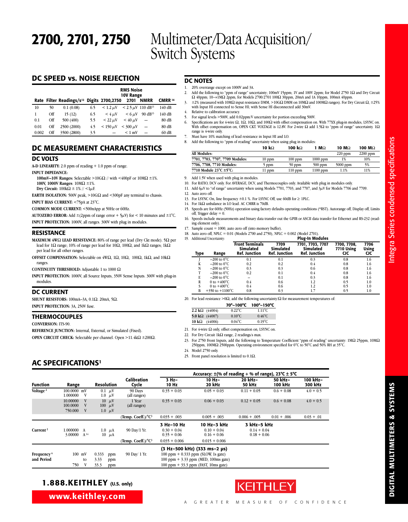# **DC SPEED vs. NOISE REJECTION**

|       |     | Rate Filter Readings/s <sup>12</sup> Digits 2700,2750 |     |               | <b>RMS Noise</b><br>10V Range<br>2701 | <b>NMRR</b>          | <b>CMRR</b> 14 |
|-------|-----|-------------------------------------------------------|-----|---------------|---------------------------------------|----------------------|----------------|
| 10    | 50  | 0.1(0.08)                                             | 6.5 | $< 1.2 \mu V$ | $< 2.5 \mu V$ 110 dB <sup>13</sup>    |                      | 140 dB         |
| 1     | Off | 15(12)                                                | 6.5 | $<$ 4 $\mu$ V | $< 6 \mu V$                           | $90 \text{ dB}^{13}$ | 140 dB         |
| 0.1   | Off | 500 (400)                                             | 5.5 | $< 22 \mu V$  | $<$ 40 $\mu$ V                        |                      | 80 dB          |
| 0.01  | Off | 2500 (2000)                                           | 4.5 | $< 150 \mu V$ | $<$ 300 $\mu$ V                       |                      | 80 dB          |
| 0.002 | Off | 3500 (2800)                                           | 3.5 |               | $< 1$ mV                              |                      | 60dB           |

# **DC MEASUREMENT CHARACTERISTICS**

### **DC VOLTS**

**A-D LINEARITY:** 2.0 ppm of reading + 1.0 ppm of range.

**INPUT IMPEDANCE:**

- **100mV–10V Ranges:** Selectable >10G $\Omega$  // with <400pF or 10M $\Omega$  ±1%. **100V, 1000V Ranges**: 10MΩ ±1%.
- **Dry Circuit:**  $100$ kΩ  $± 1%$  // <1μF.

**EARTH ISOLATION:** 500V peak, >10GΩ and <300pF any terminal to chassis.

**INPUT BIAS CURRENT:** <75pA at 23°C.

**COMMON MODE CURRENT:** <500nApp at 50Hz or 60Hz.

**AUTOZERO ERROR:** Add  $\pm$ (2ppm of range error + 5 $\mu$ V) for < 10 minutes and  $\pm$ 1°C. **INPUT PROTECTION:** 1000V, all ranges. 300V with plug in modules.

### **RESISTANCE**

**MAXIMUM 4W**Ω **LEAD RESISTANCE:** 80% of range per lead (Dry Ckt mode). 5Ω per lead for 1Ω range; 10% of range per lead for 10Ω, 100Ω, and 1kΩ ranges; 1kΩ per lead for all other ranges.

**OFFSET COMPENSATION:** Selectable on 4WΩ, 1Ω, 10Ω, 100Ω, 1kΩ, and 10kΩ ranges.

**CONTINUITY THRESHOLD:** Adjustable 1 to 1000 Ω

**INPUT PROTECTION:** 1000V, all Source Inputs, 350V Sense Inputs. 300V with plug-in modules.

### **DC CURRENT**

**SHUNT RESISTORS:** 100mA–3A, 0.1Ω. 20mA, 5Ω. **INPUT PROTECTION:** 3A, 250V fuse.

### **THERMOCOUPLES**

**CONVERSION:** ITS-90.

**REFERENCE JUNCTION:** Internal, External, or Simulated (Fixed).

**OPEN CIRCUIT CHECK:** Selectable per channel. Open >11.4kΩ ±200Ω.

# **DC NOTES**

1. 20% overrange except on 1000V and 3A.<br>2. Add the following to "nom of range" unc

- 2. Add the following to "ppm of range" uncertainty; 100mV 15ppm; 1V and 100V 2ppm; for Model 2750 1Ω and Dry Circuit Ω 40ppm; 10→1MΩ 2ppm, for Models 2700/2701 100Ω 30ppm, 20mA and 1A 10ppm, 100mA 40ppm.
- 3. ±2% (measured with 10MΩ input resistance DMM, >10GΩ DMM on 10MΩ and 100MΩ ranges). For Dry Circuit Ω, ±25% with Input HI connected to Sense HI; with Sense HI disconnected add 30mV.
- 4. Relative to calibration accuracy.
- 5. For signal levels >500V, add 0.02ppm/V uncertainty for portion exceeding 500V.
- 6. Specifications are for 4-wire Ω, 1Ω, 10Ω, and 100Ω with offset compensation on. With 77XX plug-in modules, LSYNC on.<br>With offset compensation on, OPEN CKT. VOLTAGE is 12.8V. For 2-wire Ω add 1.5Ω to "ppm of range" unce range is 4-wire only.
- 7. Must have 10% matching of lead resistance in Input HI and LO.
- 8. Add the following to "ppm of reading" uncertainty when using plug in modules: **10 k**Ω **100 k**Ω **1 M**Ω **10 M**Ω **100 M**Ω

| All Modules:                                  |          |           |            | $220$ ppm  | $2200$ ppm |
|-----------------------------------------------|----------|-----------|------------|------------|------------|
| 7701, 7703, 7707, 7709 Modules:               | $10$ ppm | $100$ ppm | $1000$ ppm |            | 10%        |
| 7706, 7708, 7710 Modules:                     | 5 ppm    | $50$ ppm  | $500$ ppm  | $5000$ ppm | 5%         |
| 7710 Module $23^{\circ}$ C $\pm 5^{\circ}$ C: | $11$ ppm | $110$ ppm | $1100$ ppm | $1.1\%$    | 11%        |
|                                               |          |           |            |            |            |

9. Add 1.5V when used with plug in modules.

- 10. For RATIO, DCV only. For AVERAGE, DCV, and Thermocouples only. Available with plug in modules only.
- 11. Add 6 $\mu$ V to "of range" uncertainty when using Models 7701, 7703, and 7707, and  $3\mu$ V for Models 7706 and 7709.
- 12. Auto zero off.
- 13. For LSYNC On, line frequency  $\pm 0.1$  %. For LSYNC Off, use 60dB for  $\geq$  1PLC.
- 14. For 1kΩ unbalance in LO lead. AC CMRR is 70dB.
- 15. Speeds are for 60Hz (50Hz) operation using factory defaults operating conditions (\*RST). Autorange off, Display off, Limits  $\overrightarrow{off}$ , Trigger delay = 0.
- 16. Speeds include measurements and binary data transfer out the GPIB or ASCII data transfer for Ethernet and RS-232 (reading element only).
- 17. Sample count = 1000, auto zero off (into memory buffer).
- 18. Auto zero off, NPLC =  $0.01$  (Models 2700 and 2750), NPLC =  $0.002$  (Model 2701).

| 19.  | Additional Uncertainty:     |                                                             |                                           | <b>Plug-In Modules</b>                                |                                         |                      |  |
|------|-----------------------------|-------------------------------------------------------------|-------------------------------------------|-------------------------------------------------------|-----------------------------------------|----------------------|--|
| Type | Range                       | <b>Front Terminals</b><br>Simulated<br><b>Ref. Junction</b> | 7709<br>Simulated<br><b>Ref. Junction</b> | 7701, 7703, 7707<br>Simulated<br><b>Ref. Junction</b> | 7700, 7708,<br>7710 Using<br><b>CIC</b> | 7706<br>Using<br>CIC |  |
|      | $-200$ to $0^{\circ}$ C     | 0.1                                                         | 0.1                                       | 0.3                                                   | 0.8                                     | 1.6                  |  |
| K    | $-200$ to $0^{\circ}$ C     | 0.2                                                         | 0.2                                       | 0.4                                                   | 0.8                                     | 1.6                  |  |
| N    | $-200$ to $0^{\circ}$ C     | 0.3                                                         | 0.3                                       | 0.6                                                   | 0.8                                     | 1.6                  |  |
|      | $-200$ to $0^{\circ}$ C     | 0.2                                                         | 0.1                                       | 0.4                                                   | 0.8                                     | 1.6                  |  |
| E    | $-200$ to $0^{\circ}$ C     |                                                             | 0.1                                       | 0.3                                                   | 0.8                                     | 1.6                  |  |
| R    | 0 to $+400^{\circ}$ C       | 0.4                                                         | 0.6                                       | 1.2                                                   | 0.5                                     | 1.0                  |  |
|      | 0 to $+400^{\circ}$ C       | 0.4                                                         | 0.6                                       | 1.2                                                   | 0.5                                     | 1.0                  |  |
|      | $+350$ to $+1100^{\circ}$ C | 0.8                                                         | 0.3                                       | 1.7                                                   | 0.5                                     | 1.0                  |  |

20. For lead resistance >0Ω, add the following uncertainty/ $Ω$  for measurement temperatures of:

|                        | 70°-100°C         | 100°-150°C        |
|------------------------|-------------------|-------------------|
| 2.2 $k\Omega$ (44004)  | $0.22^{\circ}$ C. | $1.11^{\circ}$ C  |
| 5.0 k $\Omega$ (44007) | $0.10^{\circ}$ C. | $0.46^{\circ}$ C. |
| 10 $k\Omega$ (44006)   | $0.04^{\circ}$ C. | $0.19^{\circ}$ C  |
|                        |                   |                   |

21. For 4-wire  $\Omega$  only, offset compensation on, LSYNC on.

22. For Dry Circuit 1kΩ range, 2 readings/s max.

23. For 2750 Front Inputs, add the following to Temperature Coefficient "ppm of reading" uncertainty: 1MΩ 25ppm, 10MΩ<br>250ppm, 100MΩ 2500ppm. Operating environment specified for 0°C to 50°C and 50% RH at 35°C.

24. Model 2750 only.

25. Front panel resolution is limited to  $0.1Ω$ .

# **AC SPECIFICATIONS1**

|                                      |                                 |               |                                            |                               | Accuracy: $\pm$ (% of reading + % of range), 23 °C $\pm$ 5 °C |                                                                                                                                                            |                                               |                          |                    |                     |  |  |
|--------------------------------------|---------------------------------|---------------|--------------------------------------------|-------------------------------|---------------------------------------------------------------|------------------------------------------------------------------------------------------------------------------------------------------------------------|-----------------------------------------------|--------------------------|--------------------|---------------------|--|--|
| <b>Function</b>                      | Range                           |               |                                            | <b>Resolution</b>             | Calibration<br>Cycle                                          | $3$ Hz-<br>10 Hz                                                                                                                                           | $10 Hz -$<br>20 kHz                           | 20 kHz-<br><b>50 kHz</b> | 50 kHz-<br>100 kHz | 100 kHz-<br>300 kHz |  |  |
| Voltage <sup>2</sup>                 | $100.0000$ mV<br>1.000000       | V             | $0.1 \mu V$<br>$1.0 \mu V$                 | 90 Days<br>(all ranges)       | $0.35 + 0.03$                                                 | $0.05 + 0.03$                                                                                                                                              | $0.11 + 0.05$                                 | $0.6 + 0.08$             | $4.0 + 0.5$        |                     |  |  |
|                                      | 10.00000<br>100,0000<br>750,000 | V<br>V        | $10 \mu V$<br>$100 \mu$ V<br>$1.0 \mu V$   | 1 Year<br>(all ranges)        | $0.35 + 0.03$                                                 | $0.06 + 0.03$                                                                                                                                              | $0.12 + 0.05$                                 | $0.6 + 0.08$             | $4.0 + 0.5$        |                     |  |  |
|                                      |                                 |               |                                            | (Temp. Coeff.)/ $^{\circ}C^3$ | $0.035 + .003$                                                | $0.005 + .003$                                                                                                                                             | $0.006 + .005$                                | $0.01 + .006$            | $0.03 + .01$       |                     |  |  |
| Current <sup>2</sup>                 | 1.000000<br>3.00000             | A<br>$A^{14}$ | $1.0 \mu A$<br>10 $\mu$ A                  | 90 Day/1 Yr.                  | 3 Hz-10 Hz<br>$0.30 + 0.04$<br>$0.35 + 0.06$                  | 10 Hz-3 kHz<br>$0.10 + 0.04$<br>$0.16 + 0.06$                                                                                                              | 3 kHz-5 kHz<br>$0.14 + 0.04$<br>$0.18 + 0.06$ |                          |                    |                     |  |  |
|                                      |                                 |               |                                            | (Temp. Coeff.)/ $^{\circ}C^3$ | $0.035 + 0.006$                                               | $0.015 + 0.006$                                                                                                                                            |                                               |                          |                    |                     |  |  |
| Frequency <sup>4</sup><br>and Period | $100$ mV<br>750                 | to            | 0.333<br>ppm<br>3.33<br>ppm<br>33.3<br>ppm | 90 Day/ 1 Yr.                 |                                                               | (3 Hz-500 kHz) (333 ms-2 µs)<br>100 ppm $+$ 0.333 ppm (SLOW 1s gate)<br>100 ppm $+ 3.33$ ppm (MED, 100ms gate)<br>$100$ ppm $+ 33.3$ ppm (FAST, 10ms gate) |                                               |                          |                    |                     |  |  |

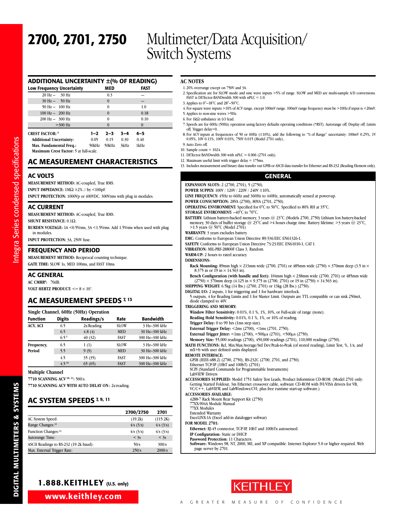## **ADDITIONAL UNCERTAINTY ±(% OF READING)**

| Low Frequency Uncertainty         |       | MED              |         | FAST     |  |
|-----------------------------------|-------|------------------|---------|----------|--|
| $20 \text{ Hz} - 30 \text{ Hz}$   |       | 0.3              |         |          |  |
| $30 \text{ Hz} - 50 \text{ Hz}$   |       | $\mathbf{0}$     |         |          |  |
| $50 \text{ Hz} - 100 \text{ Hz}$  |       | $\bf{0}$         |         | 1.0      |  |
| $100 \text{ Hz} - 200 \text{ Hz}$ |       | $\mathbf{0}$     |         | 0.18     |  |
| $200 \text{ Hz} - 300 \text{ Hz}$ |       | $\boldsymbol{0}$ |         | 0.10     |  |
| $>300$ Hz                         |       | $\mathbf{0}$     |         | $\Omega$ |  |
| <b>CREST FACTOR: 5</b>            | 1–2   | $2 - 3$          | $3 - 4$ | $4 - 5$  |  |
| <b>Additional Uncertainty:</b>    | 0.05  | 0.15             | 0.30    | 0.40     |  |
| Max. Fundamental Freq.:           | 50kHz | 50kHz            | 3kHz    | 1kHz     |  |

**Maximum Crest Factor:** 5 at full-scale.

# **AC MEASUREMENT CHARACTERISTICS**

## **AC VOLTS**

**MEASUREMENT METHOD:** AC-coupled, True RMS.

**INPUT IMPEDANCE:** 1MΩ ±2% // by <100pF.

**INPUT PROTECTION:** 1000Vp or 400VDC. 300Vrms with plug in modules.

### **AC CURRENT**

**MEASUREMENT METHOD:** AC-coupled, True RMS.

**SHUNT RESISTANCE:** 0.1Ω.

**BURDEN VOLTAGE:** 1A <0.5Vrms, 3A <1.5Vrms. Add 1.5Vrms when used with plug in modules.

**INPUT PROTECTION:** 3A, 250V fuse.

### **FREQUENCY AND PERIOD**

**MEASUREMENT METHOD:** Reciprocal counting technique.

**GATE TIME:** SLOW 1s, MED 100ms, and FAST 10ms.

### **AC GENERAL**

Inte gra

Series condensed sp

ecificatio

ns

**AC CMRR6:** 70dB.

**VOLT HERTZ PRODUCT:**  $<= 8 \times 10^7$ .

# **AC MEASUREMENT SPEEDS 7, <sup>13</sup>**

| Single Channel, 60Hz (50Hz) Operation |                  |            |             |                  |  |  |  |  |  |  |
|---------------------------------------|------------------|------------|-------------|------------------|--|--|--|--|--|--|
| <b>Function</b>                       | <b>Digits</b>    | Readings/s | Rate        | <b>Bandwidth</b> |  |  |  |  |  |  |
| ACV, ACI                              | 6.5              | 2s/Reading | <b>SLOW</b> | 3 Hz-300 kHz     |  |  |  |  |  |  |
|                                       | 6.5              | 4.8(4)     | <b>MED</b>  | 30 Hz-300 kHz    |  |  |  |  |  |  |
|                                       | 6.5 <sup>9</sup> | 40(32)     | <b>FAST</b> | 300 Hz-300 kHz   |  |  |  |  |  |  |
| Frequency,                            | 6.5              | 1(1)       | <b>SLOW</b> | 3 Hz-300 kHz     |  |  |  |  |  |  |
| Period                                | 5.5              | 9(9)       | <b>MED</b>  | 30 Hz-300 kHz    |  |  |  |  |  |  |
|                                       | 4.5              | 35(35)     | <b>FAST</b> | 300 Hz-300 kHz   |  |  |  |  |  |  |
|                                       | $4.5^{10}$       | 65(65)     | <b>FAST</b> | 300 Hz-300 kHz   |  |  |  |  |  |  |

**Multiple Channel**

**7710 SCANNING ACV 10, 11:** 500/s.

**7710 SCANNING ACV WITH AUTO DELAY ON :** 2s/reading.

# **AC SYSTEM SPEEDS 7, 9, 11**

|                                        | 2700/2750 | 2701      |
|----------------------------------------|-----------|-----------|
| AC System Speed:                       | (19.2k)   | (115.2K)  |
| Range Changes: <sup>12</sup>           | 4/s (3/s) | 4/s (3/s) |
| Function Changes: <sup>12</sup>        | 4/s (3/s) | 4/s (3/s) |
| Autorange Time:                        | $<$ 3s    | $<$ 3s    |
| ASCII Readings to RS-232 (19.2k baud): | 50/s      | 300/s     |
| Max. External Trigger Rate:            | 250/s     | 2000/s    |

### **AC NOTES**

- 1. 20% overrange except on 750V and 3A.
- 2. Specification are for SLOW mode and sine wave inputs >5% of range. SLOW and MED are multi-sample A/D conversions. FAST is DETector:BANDwidth 300 with nPLC = 1.0.
- 3. Applies to 0°–18°C and 28°–50°C.
- 4. For square wave inputs >10% of ACV range, except 100mV range. 100mV range frequency must be >10Hz if input is <20mV.
- 5. Applies to non-sine waves >5Hz.
- 6. For 1kΩ unbalance in LO lead.
- 7. Speeds are for 60Hz (50Hz) operation using factory defaults operating conditions (\*RST). Autorange off, Display off, Limits off, Trigger delay=0..
- 8. For ACV inputs at frequencies of 50 or 60Hz ( $\pm 10\%$ ), add the following to "% of Range" uncertainty: 100mV 0.25%, 1V 0.05%, 10V 0.13%, 100V 0.03%, 750V 0.015 (Model 2701 only)..
- 9. Auto Zero off.
- 10. Sample count  $= 1024$ .

11. DETector:BANDwidth 300 with nPLC = 0.006 (2701 only).

12. Maximum useful limit with trigger delay = 175ms.

13. Includes measurement and binary data transfer out GPIB or ASCII data transfer for Ethernet and RS-232 (Reading Element only).

### **GENERAL**

**EXPANSION SLOTS:** 2 (2700, 2701), 5 (2750). **POWER SUPPLY:** 100V / 120V / 220V / 240V ±10%. **LINE FREQUENCY:** 45Hz to 66Hz and 360Hz to 440Hz, automatically sensed at power-up. **POWER CONSUMPTION:** 28VA (2700), 80VA (2701, 2750). **OPERATING ENVIRONMENT:** Specified for 0°C to 50°C. Specified to 80% RH at 35°C. **STORAGE ENVIRONMENT:** –40°C to 70°C. BATTERY: Lithium battery-backed memory, 3 years @ 23°C (Models 2700, 2750) Lithium Ion battery-backed memory, 30 days of buffer storage @ 23°C, and >4 hours charge time. Battery lifetime: >3 years @ 23°C, >1.5 years @ 50°C (Model 2701) **WARRANTY:** 3 years excludes battery. **EMC:** Conforms to European Union Directive 89/336/EEC EN61326-1. **SAFETY:** Conforms to European Union Directive 73/23/EEC EN61010-1, CAT I. **VIBRATION:** MIL-PRF-28800F Class 3, Random. **WARM-UP:** 2 hours to rated accuracy. **DIMENSIONS: Rack Mounting:** 89mm high  $\times$  213mm wide (2700, 2701) or 485mm wide (2750)  $\times$  370mm deep (3.5 in  $\times$  8.375 in or 19 in  $\times$  14.563 in). Bench Configuration (with handle and feet):  $104$ mm high  $\times$  238mm wide (2700, 2701) or 485mm wide  $(2750) \times 370$ mm deep  $(4.125 \text{ in} \times 9.375 \text{ in} (2700, 2701) \text{ or } 19 \text{ in} (2750) \times 14.563 \text{ in}).$ **SHIPPING WEIGHT:** 6.5kg (14 lbs.) (2700, 2701) or 13kg (28 lbs.) (2750). **DIGITAL I/O:** 2 inputs, 1 for triggering and 1 for hardware interlock. 5 outputs, 4 for Reading Limits and 1 for Master Limit. Outputs are TTL compatible or can sink 250mA, diode clamped to 40V. **TRIGGERING AND MEMORY: Window Filter Sensitivity:** 0.01%, 0.1 %, 1%, 10%, or Full-scale of range (none). **Reading Hold Sensitivity:** 0.01%, 0.1 %, 1%, or 10% of reading. **Trigger Delay:** 0 to 99 hrs (1ms step size). **External Trigger Delay:** <2ms (2700), <1ms (2701, 2750). **External Trigger Jitter:**  $\langle 1 \text{ms } (2700), \langle 500 \mu s (2701), \langle 500 \mu s (2750), \rangle$ **Memory Size:** 55,000 readings (2700), 450,000 readings (2701), 110,000 readings (2750). MATH FUNCTIONS: Rel, Min/Max/Average/Std Dev/Peak-to-Peak (of stored reading), Limit Test, %, 1/x, and mX+b with user defined units displayed. **REMOTE INTERFACE:** GPIB (IEEE-488.2) (2700, 2750), RS-232C (2700, 2701, and 2750). Ethernet TCP/IP (10bT and 100bT) (2701) SCPI (Standard Commands for Programmable Instruments) LabVIEW Drivers **ACCESSORIES SUPPLIED:** Model 1751 Safety Test Leads, Product Informtion CD-ROM. (Model 2701 only: Getting Started Foldout, 3m Ethernet crossover cable, software CD-ROM with IVI/VISA drivers for VB, VC/C++, LabVIEW, and LabWindows/CVI, plus free runtime start-up software.) **ACCESSORIES AVAILABLE:** 4288-7 Rack Mount Rear Support Kit (2750) 77XX-904A Module Manual 77XX Modules Extended Warranty ExceLINX-1A (Excel add-in datalogger softwar) **FOR MODEL 2701: Ethernet:** RJ-45 connector, TCP/IP, 10bT and 100bTx autosensed. **IP Configuration:** Static or DHCP. **Password Protection:** 11 Characters.

**Software:** Windows 98, NT, 2000, ME, and XP compatible. Internet Explorer 5.0 or higher required. Web page server by 2701.